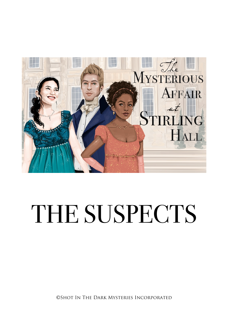

# THE SUSPECTS

©Shot In The Dark Mysteries Incorporated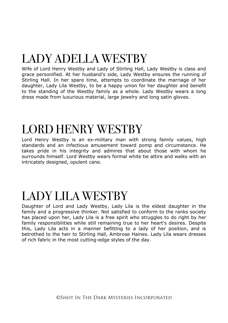# LADY ADELLA WESTBY

Wife of Lord Henry Westby and Lady of Stirling Hall, Lady Westby is class and grace personified. At her husband's side, Lady Westby ensures the running of Stirling Hall. In her spare time, attempts to coordinate the marriage of her daughter, Lady Lila Westby, to be a happy union for her daughter and benefit to the standing of the Westby family as a whole. Lady Westby wears a long dress made from luxurious material, large jewelry and long satin gloves.

#### LORD HENRY WESTBY

Lord Henry Westby is an ex-military man with strong family values, high standards and an infectious amusement toward pomp and circumstance. He takes pride in his integrity and admires that about those with whom he surrounds himself. Lord Westby wears formal white tie attire and walks with an intricately designed, opulent cane.

#### LADY LILA WESTBY

Daughter of Lord and Lady Westby, Lady Lila is the eldest daughter in the family and a progressive thinker. Not satisfied to conform to the ranks society has placed upon her, Lady Lila is a free spirit who struggles to do right by her family responsibilities while still remaining true to her heart's desires. Despite this, Lady Lila acts in a manner befitting to a lady of her position, and is betrothed to the heir to Stirling Hall, Ambrose Haines. Lady Lila wears dresses of rich fabric in the most cutting-edge styles of the day.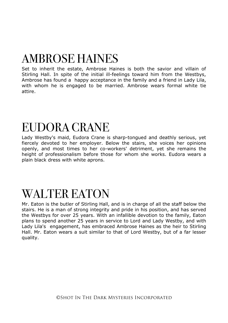## AMBROSE HAINES

Set to inherit the estate, Ambrose Haines is both the savior and villain of Stirling Hall. In spite of the initial ill-feelings toward him from the Westbys, Ambrose has found a happy acceptance in the family and a friend in Lady Lila, with whom he is engaged to be married. Ambrose wears formal white tie attire.

#### EUDORA CRANE

Lady Westby's maid, Eudora Crane is sharp-tongued and deathly serious, yet fiercely devoted to her employer. Below the stairs, she voices her opinions openly, and most times to her co-workers' detriment, yet she remains the height of professionalism before those for whom she works. Eudora wears a plain black dress with white aprons.

#### WALTER EATON

Mr. Eaton is the butler of Stirling Hall, and is in charge of all the staff below the stairs. He is a man of strong integrity and pride in his position, and has served the Westbys for over 25 years. With an infallible devotion to the family, Eaton plans to spend another 25 years in service to Lord and Lady Westby, and with Lady Lila's engagement, has embraced Ambrose Haines as the heir to Stirling Hall. Mr. Eaton wears a suit similar to that of Lord Westby, but of a far lesser quality.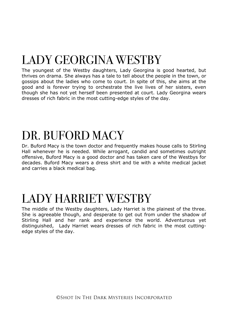# LADY GEORGINA WESTBY

The youngest of the Westby daughters, Lady Georgina is good hearted, but thrives on drama. She always has a tale to tell about the people in the town, or gossips about the ladies who come to court. In spite of this, she aims at the good and is forever trying to orchestrate the live lives of her sisters, even though she has not yet herself been presented at court. Lady Georgina wears dresses of rich fabric in the most cutting-edge styles of the day.

### DR. BUFORD MACY

Dr. Buford Macy is the town doctor and frequently makes house calls to Stirling Hall whenever he is needed. While arrogant, candid and sometimes outright offensive, Buford Macy is a good doctor and has taken care of the Westbys for decades. Buford Macy wears a dress shirt and tie with a white medical jacket and carries a black medical bag.

#### LADY HARRIET WESTBY

The middle of the Westby daughters, Lady Harriet is the plainest of the three. She is agreeable though, and desperate to get out from under the shadow of Stirling Hall and her rank and experience the world. Adventurous yet distinguished, Lady Harriet wears dresses of rich fabric in the most cuttingedge styles of the day.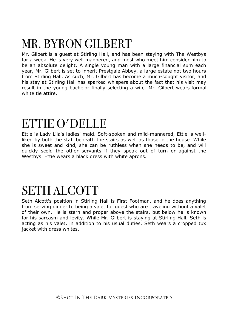## MR. BYRON GILBERT

Mr. Gilbert is a guest at Stirling Hall, and has been staying with The Westbys for a week. He is very well mannered, and most who meet him consider him to be an absolute delight. A single young man with a large financial sum each year, Mr. Gilbert is set to inherit Prestgale Abbey, a large estate not two hours from Stirling Hall. As such, Mr. Gilbert has become a much-sought visitor, and his stay at Stirling Hall has sparked whispers about the fact that his visit may result in the young bachelor finally selecting a wife. Mr. Gilbert wears formal white tie attire.

#### ETTIE O'DELLE

Ettie is Lady Lila's ladies' maid. Soft-spoken and mild-mannered, Ettie is wellliked by both the staff beneath the stairs as well as those in the house. While she is sweet and kind, she can be ruthless when she needs to be, and will quickly scold the other servants if they speak out of turn or against the Westbys. Ettie wears a black dress with white aprons.

#### SETH ALCOTT

Seth Alcott's position in Stirling Hall is First Footman, and he does anything from serving dinner to being a valet for guest who are traveling without a valet of their own. He is stern and proper above the stairs, but below he is known for his sarcasm and levity. While Mr. Gilbert is staying at Stirling Hall, Seth is acting as his valet, in addition to his usual duties. Seth wears a cropped tux jacket with dress whites.